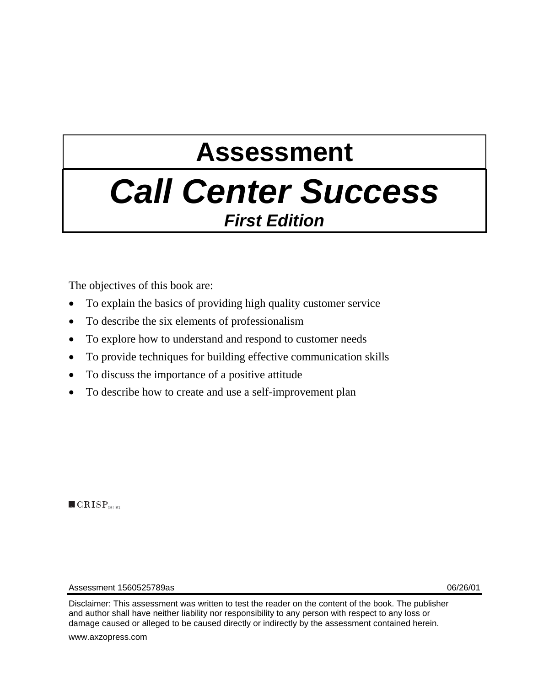# **Assessment**

## *Call Center Success First Edition*

The objectives of this book are:

- To explain the basics of providing high quality customer service
- To describe the six elements of professionalism
- To explore how to understand and respond to customer needs
- To provide techniques for building effective communication skills
- To discuss the importance of a positive attitude
- To describe how to create and use a self-improvement plan

 $\blacksquare$   $CRISP$ <sub>series</sub>

Assessment 1560525789as 06/26/01

Disclaimer: This assessment was written to test the reader on the content of the book. The publisher and author shall have neither liability nor responsibility to any person with respect to any loss or damage caused or alleged to be caused directly or indirectly by the assessment contained herein.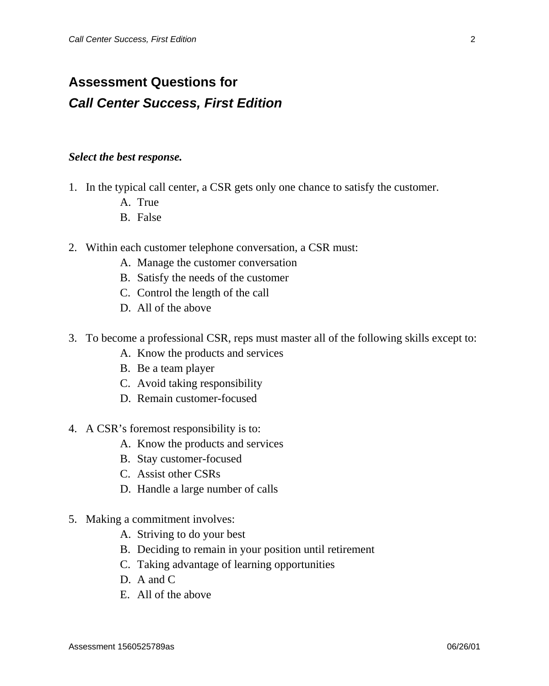### **Assessment Questions for**  *Call Center Success, First Edition*

#### *Select the best response.*

- 1. In the typical call center, a CSR gets only one chance to satisfy the customer.
	- A. True
	- B. False
- 2. Within each customer telephone conversation, a CSR must:
	- A. Manage the customer conversation
	- B. Satisfy the needs of the customer
	- C. Control the length of the call
	- D. All of the above
- 3. To become a professional CSR, reps must master all of the following skills except to:
	- A. Know the products and services
	- B. Be a team player
	- C. Avoid taking responsibility
	- D. Remain customer-focused
- 4. A CSR's foremost responsibility is to:
	- A. Know the products and services
	- B. Stay customer-focused
	- C. Assist other CSRs
	- D. Handle a large number of calls
- 5. Making a commitment involves:
	- A. Striving to do your best
	- B. Deciding to remain in your position until retirement
	- C. Taking advantage of learning opportunities
	- D. A and C
	- E. All of the above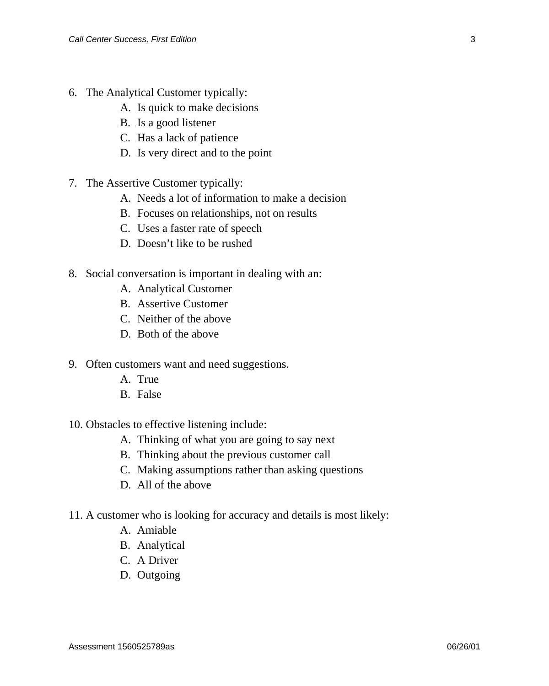- 6. The Analytical Customer typically:
	- A. Is quick to make decisions
	- B. Is a good listener
	- C. Has a lack of patience
	- D. Is very direct and to the point
- 7. The Assertive Customer typically:
	- A. Needs a lot of information to make a decision
	- B. Focuses on relationships, not on results
	- C. Uses a faster rate of speech
	- D. Doesn't like to be rushed
- 8. Social conversation is important in dealing with an:
	- A. Analytical Customer
	- B. Assertive Customer
	- C. Neither of the above
	- D. Both of the above
- 9. Often customers want and need suggestions.
	- A. True
	- B. False
- 10. Obstacles to effective listening include:
	- A. Thinking of what you are going to say next
	- B. Thinking about the previous customer call
	- C. Making assumptions rather than asking questions
	- D. All of the above
- 11. A customer who is looking for accuracy and details is most likely:
	- A. Amiable
	- B. Analytical
	- C. A Driver
	- D. Outgoing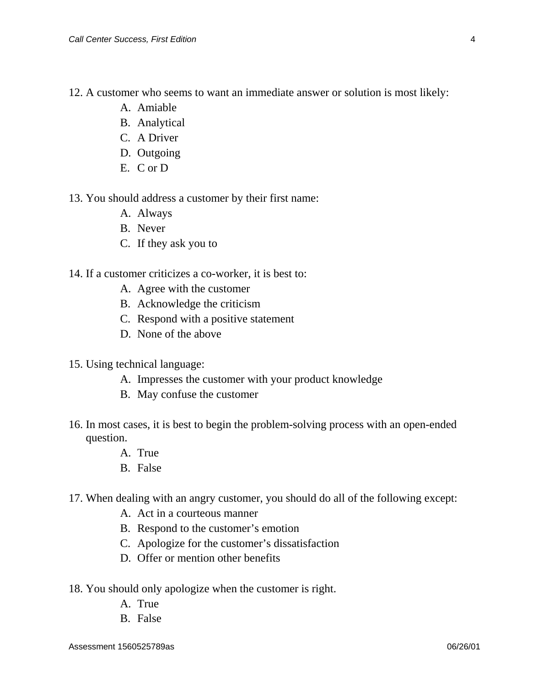12. A customer who seems to want an immediate answer or solution is most likely:

- A. Amiable
- B. Analytical
- C. A Driver
- D. Outgoing
- E. C or D

13. You should address a customer by their first name:

- A. Always
- B. Never
- C. If they ask you to

14. If a customer criticizes a co-worker, it is best to:

- A. Agree with the customer
- B. Acknowledge the criticism
- C. Respond with a positive statement
- D. None of the above
- 15. Using technical language:
	- A. Impresses the customer with your product knowledge
	- B. May confuse the customer
- 16. In most cases, it is best to begin the problem-solving process with an open-ended question.
	- A. True
	- B. False
- 17. When dealing with an angry customer, you should do all of the following except:
	- A. Act in a courteous manner
	- B. Respond to the customer's emotion
	- C. Apologize for the customer's dissatisfaction
	- D. Offer or mention other benefits
- 18. You should only apologize when the customer is right.
	- A. True
	- B. False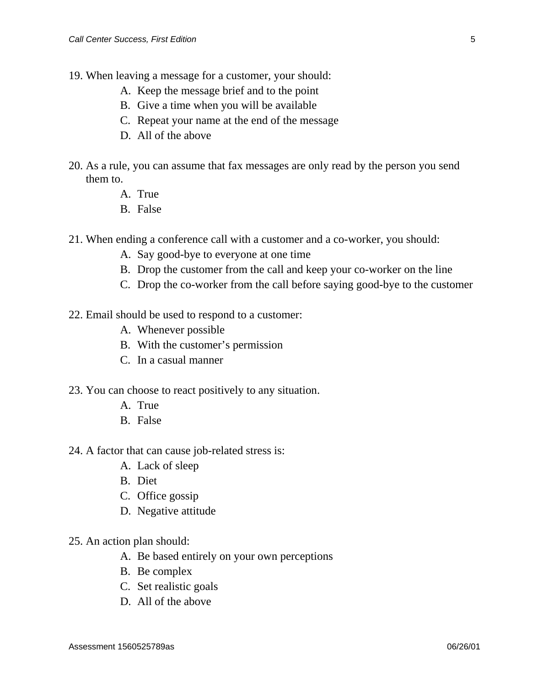- 19. When leaving a message for a customer, your should:
	- A. Keep the message brief and to the point
	- B. Give a time when you will be available
	- C. Repeat your name at the end of the message
	- D. All of the above
- 20. As a rule, you can assume that fax messages are only read by the person you send them to.
	- A. True
	- B. False
- 21. When ending a conference call with a customer and a co-worker, you should:
	- A. Say good-bye to everyone at one time
	- B. Drop the customer from the call and keep your co-worker on the line
	- C. Drop the co-worker from the call before saying good-bye to the customer
- 22. Email should be used to respond to a customer:
	- A. Whenever possible
	- B. With the customer's permission
	- C. In a casual manner
- 23. You can choose to react positively to any situation.
	- A. True
	- B. False
- 24. A factor that can cause job-related stress is:
	- A. Lack of sleep
	- B. Diet
	- C. Office gossip
	- D. Negative attitude
- 25. An action plan should:
	- A. Be based entirely on your own perceptions
	- B. Be complex
	- C. Set realistic goals
	- D. All of the above